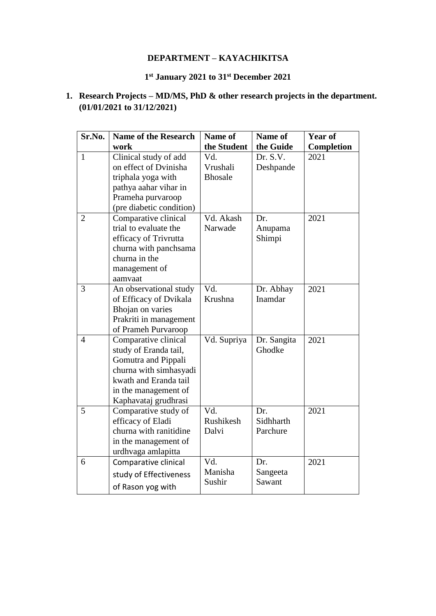### **DEPARTMENT – KAYACHIKITSA**

#### **1 st January 2021 to 31st December 2021**

## **1. Research Projects – MD/MS, PhD & other research projects in the department. (01/01/2021 to 31/12/2021)**

| Sr.No.         | <b>Name of the Research</b>                | Name of        | Name of              | Year of    |
|----------------|--------------------------------------------|----------------|----------------------|------------|
|                | work                                       | the Student    | the Guide            | Completion |
| $\mathbf{1}$   | Clinical study of add                      | Vd.            | Dr. S.V.             | 2021       |
|                | on effect of Dvinisha                      | Vrushali       | Deshpande            |            |
|                | triphala yoga with                         | <b>Bhosale</b> |                      |            |
|                | pathya aahar vihar in                      |                |                      |            |
|                | Prameha purvaroop                          |                |                      |            |
|                | (pre diabetic condition)                   |                |                      |            |
| $\overline{2}$ | Comparative clinical                       | Vd. Akash      | Dr.                  | 2021       |
|                | trial to evaluate the                      | Narwade        | Anupama              |            |
|                | efficacy of Trivrutta                      |                | Shimpi               |            |
|                | churna with panchsama                      |                |                      |            |
|                | churna in the                              |                |                      |            |
|                | management of                              |                |                      |            |
|                | aamvaat                                    | Vd.            |                      |            |
| 3              | An observational study                     | Krushna        | Dr. Abhay<br>Inamdar | 2021       |
|                | of Efficacy of Dvikala<br>Bhojan on varies |                |                      |            |
|                | Prakriti in management                     |                |                      |            |
|                | of Prameh Purvaroop                        |                |                      |            |
| $\overline{4}$ | Comparative clinical                       | Vd. Supriya    | Dr. Sangita          | 2021       |
|                | study of Eranda tail,                      |                | Ghodke               |            |
|                | Gomutra and Pippali                        |                |                      |            |
|                | churna with simhasyadi                     |                |                      |            |
|                | kwath and Eranda tail                      |                |                      |            |
|                | in the management of                       |                |                      |            |
|                | Kaphavataj grudhrasi                       |                |                      |            |
| 5              | Comparative study of                       | Vd.            | Dr.                  | 2021       |
|                | efficacy of Eladi                          | Rushikesh      | Sidhharth            |            |
|                | churna with ranitidine                     | Dalvi          | Parchure             |            |
|                | in the management of                       |                |                      |            |
|                | urdhvaga amlapitta                         |                |                      |            |
| 6              | Comparative clinical                       | Vd.            | Dr.                  | 2021       |
|                | study of Effectiveness                     | Manisha        | Sangeeta             |            |
|                | of Rason yog with                          | Sushir         | Sawant               |            |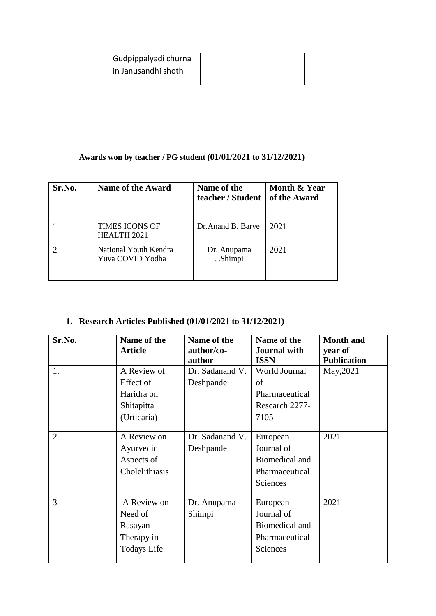| <sup>1</sup> Gudpippalyadi churna |  |  |
|-----------------------------------|--|--|
| in Janusandhi shoth               |  |  |
|                                   |  |  |

### **Awards won by teacher / PG student (01/01/2021 to 31/12/2021)**

| Sr.No. | <b>Name of the Award</b>                    | Name of the<br>teacher / Student | Month & Year<br>of the Award |
|--------|---------------------------------------------|----------------------------------|------------------------------|
|        | <b>TIMES ICONS OF</b><br><b>HEALTH 2021</b> | Dr. Anand B. Barve               | 2021                         |
|        | National Youth Kendra<br>Yuva COVID Yodha   | Dr. Anupama<br>J.Shimpi          | 2021                         |

# **1. Research Articles Published (01/01/2021 to 31/12/2021)**

| Sr.No. | Name of the        | Name of the     | Name of the         | <b>Month</b> and   |
|--------|--------------------|-----------------|---------------------|--------------------|
|        | <b>Article</b>     | author/co-      | <b>Journal with</b> | year of            |
|        |                    | author          | <b>ISSN</b>         | <b>Publication</b> |
| 1.     | A Review of        | Dr. Sadanand V. | World Journal       | May, 2021          |
|        | Effect of          | Deshpande       | οf                  |                    |
|        | Haridra on         |                 | Pharmaceutical      |                    |
|        | Shitapitta         |                 | Research 2277-      |                    |
|        | (Urticaria)        |                 | 7105                |                    |
|        |                    |                 |                     |                    |
| 2.     | A Review on        | Dr. Sadanand V. | European            | 2021               |
|        | Ayurvedic          | Deshpande       | Journal of          |                    |
|        | Aspects of         |                 | Biomedical and      |                    |
|        | Cholelithiasis     |                 | Pharmaceutical      |                    |
|        |                    |                 | <b>Sciences</b>     |                    |
| 3      | A Review on        | Dr. Anupama     | European            | 2021               |
|        | Need of            | Shimpi          | Journal of          |                    |
|        | Rasayan            |                 | Biomedical and      |                    |
|        | Therapy in         |                 | Pharmaceutical      |                    |
|        | <b>Todays Life</b> |                 | Sciences            |                    |
|        |                    |                 |                     |                    |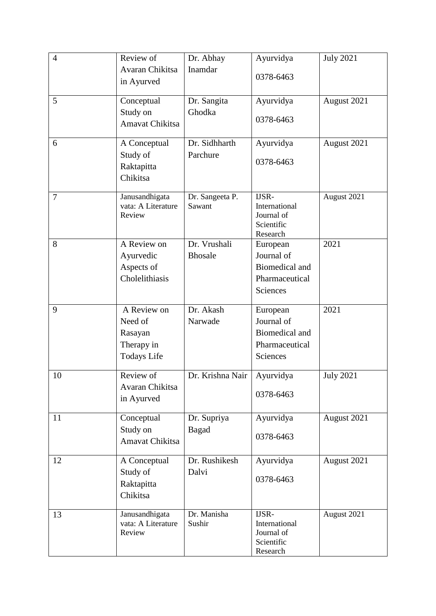| $\overline{4}$ | Review of                            | Dr. Abhay                 | Ayurvidya              | <b>July 2021</b> |
|----------------|--------------------------------------|---------------------------|------------------------|------------------|
|                | Avaran Chikitsa                      | Inamdar                   |                        |                  |
|                | in Ayurved                           |                           | 0378-6463              |                  |
|                |                                      |                           |                        |                  |
| 5              | Conceptual                           | Dr. Sangita               | Ayurvidya              | August 2021      |
|                | Study on                             | Ghodka                    |                        |                  |
|                | Amavat Chikitsa                      |                           | 0378-6463              |                  |
|                |                                      |                           |                        |                  |
| 6              | A Conceptual                         | Dr. Sidhharth             | Ayurvidya              | August 2021      |
|                | Study of                             | Parchure                  | 0378-6463              |                  |
|                | Raktapitta                           |                           |                        |                  |
|                | Chikitsa                             |                           |                        |                  |
|                |                                      |                           |                        |                  |
| $\overline{7}$ | Janusandhigata<br>vata: A Literature | Dr. Sangeeta P.<br>Sawant | IJSR-<br>International | August 2021      |
|                | Review                               |                           | Journal of             |                  |
|                |                                      |                           | Scientific             |                  |
|                |                                      |                           | Research               |                  |
| 8              | A Review on                          | Dr. Vrushali              | European               | 2021             |
|                | Ayurvedic                            | <b>Bhosale</b>            | Journal of             |                  |
|                | Aspects of                           |                           | <b>Biomedical and</b>  |                  |
|                | Cholelithiasis                       |                           | Pharmaceutical         |                  |
|                |                                      |                           | Sciences               |                  |
|                |                                      |                           |                        |                  |
| 9              | A Review on                          | Dr. Akash                 | European               | 2021             |
|                | Need of                              | Narwade                   | Journal of             |                  |
|                | Rasayan                              |                           | Biomedical and         |                  |
|                | Therapy in                           |                           | Pharmaceutical         |                  |
|                | <b>Todays Life</b>                   |                           | Sciences               |                  |
| 10             | Review of                            | Dr. Krishna Nair          | Ayurvidya              | <b>July 2021</b> |
|                | Avaran Chikitsa                      |                           |                        |                  |
|                | in Ayurved                           |                           | 0378-6463              |                  |
|                |                                      |                           |                        |                  |
| 11             | Conceptual                           | Dr. Supriya               | Ayurvidya              | August 2021      |
|                | Study on                             | Bagad                     |                        |                  |
|                | Amavat Chikitsa                      |                           | 0378-6463              |                  |
|                |                                      |                           |                        |                  |
| 12             | A Conceptual                         | Dr. Rushikesh             | Ayurvidya              | August 2021      |
|                | Study of                             | Dalvi                     |                        |                  |
|                | Raktapitta                           |                           | 0378-6463              |                  |
|                | Chikitsa                             |                           |                        |                  |
|                |                                      |                           |                        |                  |
| 13             | Janusandhigata<br>vata: A Literature | Dr. Manisha<br>Sushir     | IJSR-<br>International | August 2021      |
|                | Review                               |                           | Journal of             |                  |
|                |                                      |                           | Scientific             |                  |
|                |                                      |                           | Research               |                  |